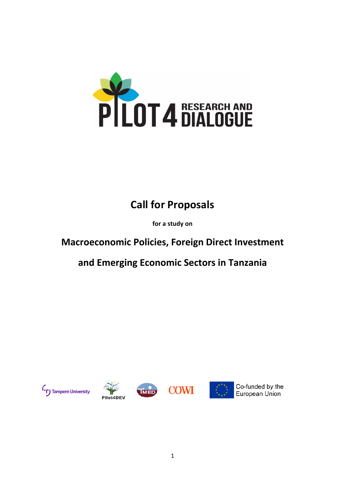

# **Call for Proposals**

**for a study on**

# **Macroeconomic Policies, Foreign Direct Investment**

**and Emerging Economic Sectors in Tanzania**







.<br>IMED



Co-funded by the European Union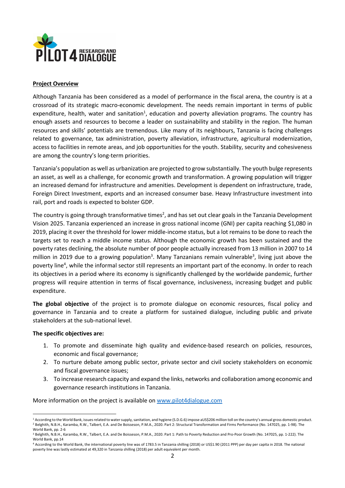

#### **Project Overview**

Although Tanzania has been considered as a model of performance in the fiscal arena, the country is at a crossroad of its strategic macro-economic development. The needs remain important in terms of public expenditure, health, water and sanitation<sup>1</sup>, education and poverty alleviation programs. The country has enough assets and resources to become a leader on sustainability and stability in the region. The human resources and skills' potentials are tremendous. Like many of its neighbours, Tanzania is facing challenges related to governance, tax administration, poverty alleviation, infrastructure, agricultural modernization, access to facilities in remote areas, and job opportunities for the youth. Stability, security and cohesiveness are among the country's long-term priorities.

Tanzania's population as well as urbanization are projected to grow substantially. The youth bulge represents an asset, as well as a challenge, for economic growth and transformation. A growing population will trigger an increased demand for infrastructure and amenities. Development is dependent on infrastructure, trade, Foreign Direct Investment, exports and an increased consumer base. Heavy Infrastructure investment into rail, port and roads is expected to bolster GDP.

The country is going through transformative times<sup>2</sup>, and has set out clear goals in the Tanzania Development Vision 2025. Tanzania experienced an increase in gross national income (GNI) per capita reaching \$1,080 in 2019, placing it over the threshold for lower middle-income status, but a lot remains to be done to reach the targets set to reach a middle income status. Although the economic growth has been sustained and the poverty rates declining, the absolute number of poor people actually increased from 13 million in 2007 to 14 million in 2019 due to a growing population<sup>3</sup>. Many Tanzanians remain vulnerable<sup>3</sup>, living just above the poverty line<sup>4</sup>, while the informal sector still represents an important part of the economy. In order to reach its objectives in a period where its economy is significantly challenged by the worldwide pandemic, further progress will require attention in terms of fiscal governance, inclusiveness, increasing budget and public expenditure.

**The global objective** of the project is to promote dialogue on economic resources, fiscal policy and governance in Tanzania and to create a platform for sustained dialogue, including public and private stakeholders at the sub-national level.

#### **The specific objectives are:**

- 1. To promote and disseminate high quality and evidence-based research on policies, resources, economic and fiscal governance;
- 2. To nurture debate among public sector, private sector and civil society stakeholders on economic and fiscal governance issues;
- 3. To increase research capacity and expand the links, networks and collaboration among economic and governance research institutions in Tanzania.

More information on the project is available on www.pilot4dialogue.com

<sup>1</sup> According to the World Bank, issues related to water supply, sanitation, and hygiene (S.D.G.6) impose aUS\$206 million toll on the country's annual gross domestic product. <sup>2</sup> Belghith, N.B.H., Karamba, R.W., Talbert, E.A. and De Boisseson, P.M.A., 2020. Part 2: Structural Transformation and Firms Performance (No. 147025, pp. 1-98). The World Bank, pp. 2-6

<sup>3</sup> Belghith, N.B.H., Karamba, R.W., Talbert, E.A. and De Boisseson, P.M.A., 2020. Part 1: Path to Poverty Reduction and Pro-Poor Growth (No. 147025, pp. 1-222). The World Bank, pp.14

<sup>4</sup> According to the World Bank, the international poverty line was of 1783.5 in Tanzania shilling (2018) or US\$1.90 (2011 PPP) per day per capita in 2018. The national poverty line was lastly estimated at 49,320 in Tanzania shilling (2018) per adult equivalent per month.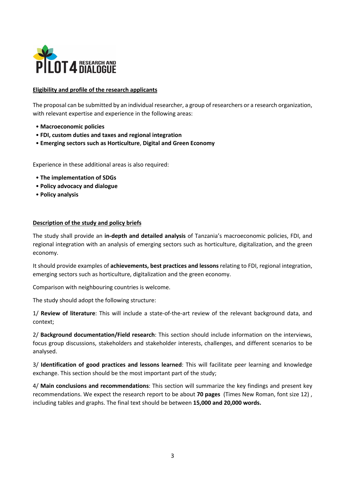

## **Eligibility and profile of the research applicants**

The proposal can be submitted by an individual researcher, a group of researchers or a research organization, with relevant expertise and experience in the following areas:

- **Macroeconomic policies**
- **FDI, custom duties and taxes and regional integration**
- **Emerging sectors such as Horticulture**, **Digital and Green Economy**

Experience in these additional areas is also required:

- **The implementation of SDGs**
- **Policy advocacy and dialogue**
- **Policy analysis**

#### **Description of the study and policy briefs**

The study shall provide an **in-depth and detailed analysis** of Tanzania's macroeconomic policies, FDI, and regional integration with an analysis of emerging sectors such as horticulture, digitalization, and the green economy.

It should provide examples of **achievements, best practices and lessons** relating to FDI, regional integration, emerging sectors such as horticulture, digitalization and the green economy.

Comparison with neighbouring countries is welcome.

The study should adopt the following structure:

1/ **Review of literature**: This will include a state-of-the-art review of the relevant background data, and context;

2/ **Background documentation/Field research**: This section should include information on the interviews, focus group discussions, stakeholders and stakeholder interests, challenges, and different scenarios to be analysed.

3/ **Identification of good practices and lessons learned**: This will facilitate peer learning and knowledge exchange. This section should be the most important part of the study;

4/ **Main conclusions and recommendations**: This section will summarize the key findings and present key recommendations. We expect the research report to be about **70 pages** (Times New Roman, font size 12) , including tables and graphs. The final text should be between **15,000 and 20,000 words.**